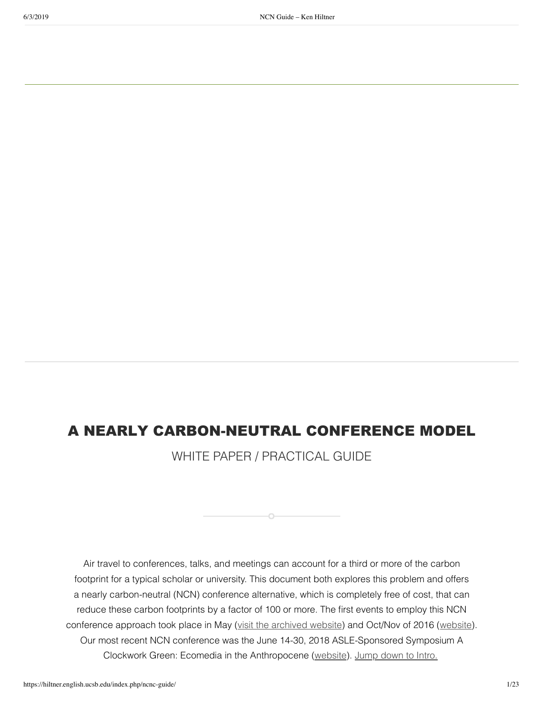# A NEARLY CARBON-NEUTRAL CONFERENCE MODEL

WHITE PAPER / PRACTICAL GUIDE

Air travel to conferences, talks, and meetings can account for a third or more of the carbon footprint for a typical scholar or university. This document both explores this problem and offers a nearly carbon-neutral (NCN) conference alternative, which is completely free of cost, that can reduce these carbon footprints by a factor of 100 or more. The first events to employ this NCN conference approach took place in May (visit the archived website) and Oct/Nov of 2016 (website). Our most recent NCN conference was the June 14-30, 2018 ASLE-Sponsored Symposium A Clockwork Green: Ecomedia in the Anthropocene (website). Jump down to Intro.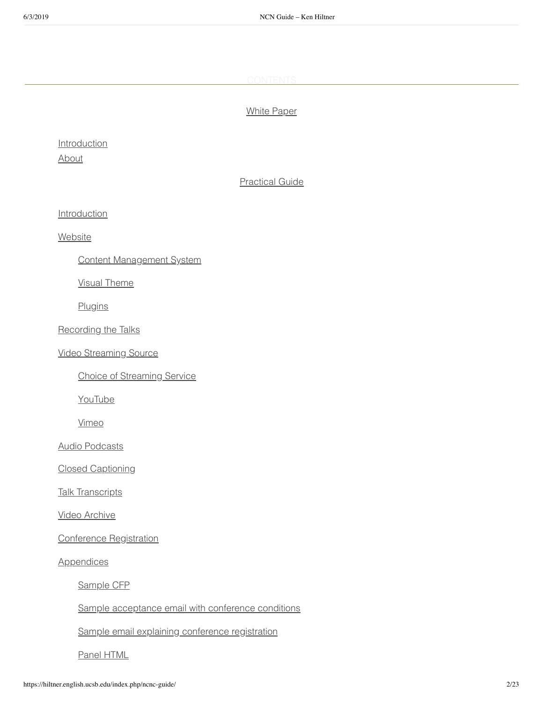# CONTENTS

# White Paper

**Introduction** 

About

# Practical Guide

**Introduction** 

**Website** 

Content Management System

Visual Theme

**Plugins** 

### Recording the Talks

Video Streaming Source

Choice of Streaming Service

YouTube

Vimeo

Audio Podcasts

Closed Captioning

**Talk Transcripts** 

Video Archive

Conference Registration

**Appendices** 

Sample CFP

Sample acceptance email with conference conditions

Sample email explaining conference registration

Panel HTML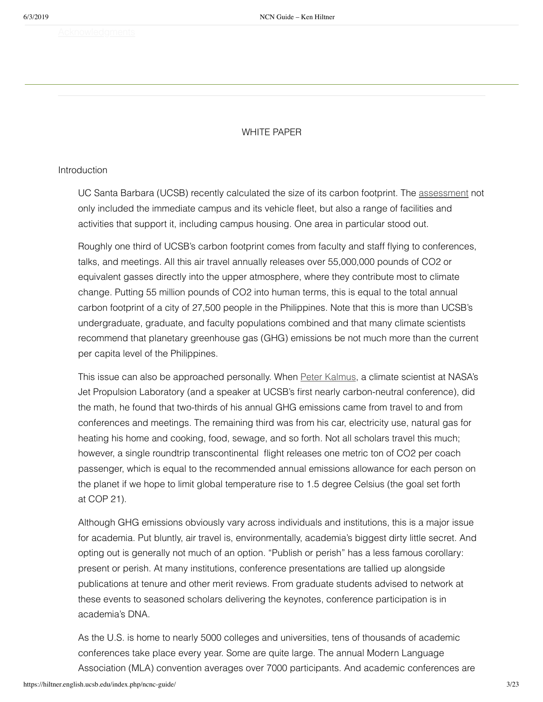# WHITE PAPER

# Introduction

UC Santa Barbara (UCSB) recently calculated the size of its carbon footprint. The assessment not only included the immediate campus and its vehicle fleet, but also a range of facilities and activities that support it, including campus housing. One area in particular stood out.

Roughly one third of UCSB's carbon footprint comes from faculty and staff flying to conferences, talks, and meetings. All this air travel annually releases over 55,000,000 pounds of CO2 or equivalent gasses directly into the upper atmosphere, where they contribute most to climate change. Putting 55 million pounds of CO2 into human terms, this is equal to the total annual carbon footprint of a city of 27,500 people in the Philippines. Note that this is more than UCSB's undergraduate, graduate, and faculty populations combined and that many climate scientists recommend that planetary greenhouse gas (GHG) emissions be not much more than the current per capita level of the Philippines.

This issue can also be approached personally. When Peter Kalmus, a climate scientist at NASA's Jet Propulsion Laboratory (and a speaker at UCSB's first nearly carbon-neutral conference), did the math, he found that two-thirds of his annual GHG emissions came from travel to and from conferences and meetings. The remaining third was from his car, electricity use, natural gas for heating his home and cooking, food, sewage, and so forth. Not all scholars travel this much; however, a single roundtrip transcontinental flight releases one metric ton of CO2 per coach passenger, which is equal to the recommended annual emissions allowance for each person on the planet if we hope to limit global temperature rise to 1.5 degree Celsius (the goal set forth at COP 21).

Although GHG emissions obviously vary across individuals and institutions, this is a major issue for academia. Put bluntly, air travel is, environmentally, academia's biggest dirty little secret. And opting out is generally not much of an option. "Publish or perish" has a less famous corollary: present or perish. At many institutions, conference presentations are tallied up alongside publications at tenure and other merit reviews. From graduate students advised to network at these events to seasoned scholars delivering the keynotes, conference participation is in academia's DNA.

As the U.S. is home to nearly 5000 colleges and universities, tens of thousands of academic conferences take place every year. Some are quite large. The annual Modern Language Association (MLA) convention averages over 7000 participants. And academic conferences are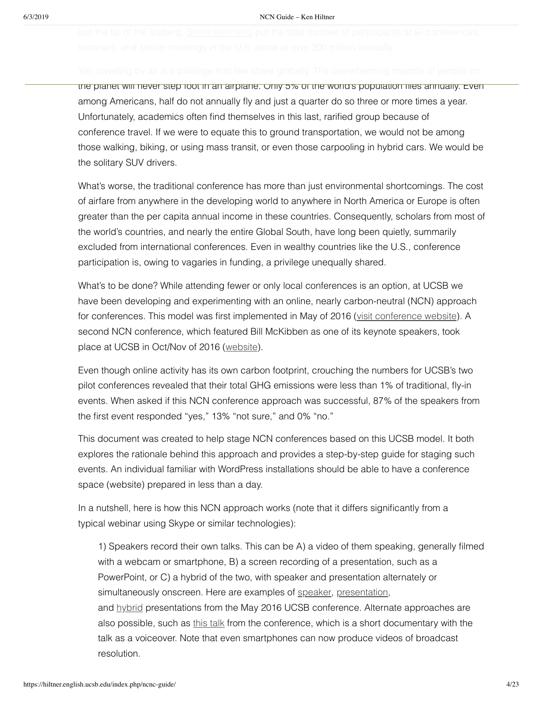the planet will never step foot in an airplane. Only 5% of the world's population files annually. Even among Americans, half do not annually fly and just a quarter do so three or more times a year. Unfortunately, academics often find themselves in this last, rarified group because of conference travel. If we were to equate this to ground transportation, we would not be among those walking, biking, or using mass transit, or even those carpooling in hybrid cars. We would be the solitary SUV drivers.

What's worse, the traditional conference has more than just environmental shortcomings. The cost of airfare from anywhere in the developing world to anywhere in North America or Europe is often greater than the per capita annual income in these countries. Consequently, scholars from most of the world's countries, and nearly the entire Global South, have long been quietly, summarily excluded from international conferences. Even in wealthy countries like the U.S., conference participation is, owing to vagaries in funding, a privilege unequally shared.

What's to be done? While attending fewer or only local conferences is an option, at UCSB we have been developing and experimenting with an online, nearly carbon-neutral (NCN) approach for conferences. This model was first implemented in May of 2016 (visit conference website). A second NCN conference, which featured Bill McKibben as one of its keynote speakers, took place at UCSB in Oct/Nov of 2016 (website).

Even though online activity has its own carbon footprint, crouching the numbers for UCSB's two pilot conferences revealed that their total GHG emissions were less than 1% of traditional, fly-in events. When asked if this NCN conference approach was successful, 87% of the speakers from the first event responded "yes," 13% "not sure," and 0% "no."

This document was created to help stage NCN conferences based on this UCSB model. It both explores the rationale behind this approach and provides a step-by-step guide for staging such events. An individual familiar with WordPress installations should be able to have a conference space (website) prepared in less than a day.

In a nutshell, here is how this NCN approach works (note that it differs significantly from a typical webinar using Skype or similar technologies):

1) Speakers record their own talks. This can be A) a video of them speaking, generally filmed with a webcam or smartphone, B) a screen recording of a presentation, such as a PowerPoint, or C) a hybrid of the two, with speaker and presentation alternately or simultaneously onscreen. Here are examples of speaker, presentation, and hybrid presentations from the May 2016 UCSB conference. Alternate approaches are also possible, such as this talk from the conference, which is a short documentary with the talk as a voiceover. Note that even smartphones can now produce videos of broadcast resolution.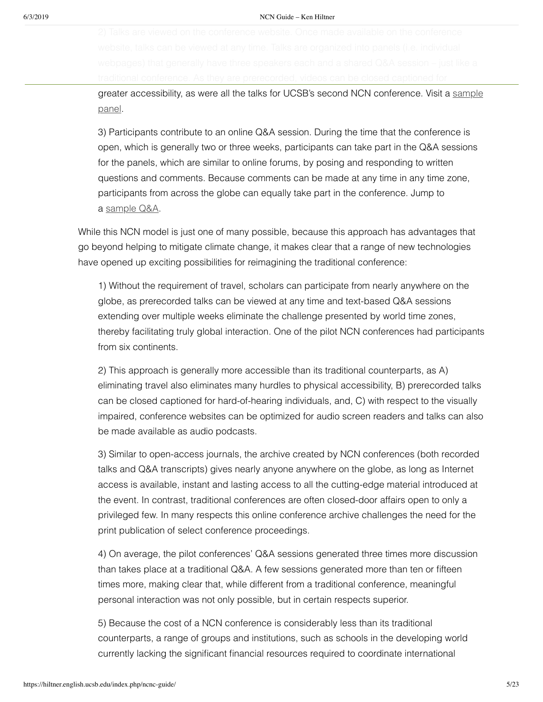greater accessibility, as were all the talks for UCSB's second NCN conference. Visit a sample panel.

3) Participants contribute to an online Q&A session. During the time that the conference is open, which is generally two or three weeks, participants can take part in the Q&A sessions for the panels, which are similar to online forums, by posing and responding to written questions and comments. Because comments can be made at any time in any time zone, participants from across the globe can equally take part in the conference. Jump to a sample Q&A.

While this NCN model is just one of many possible, because this approach has advantages that go beyond helping to mitigate climate change, it makes clear that a range of new technologies have opened up exciting possibilities for reimagining the traditional conference:

1) Without the requirement of travel, scholars can participate from nearly anywhere on the globe, as prerecorded talks can be viewed at any time and text-based Q&A sessions extending over multiple weeks eliminate the challenge presented by world time zones, thereby facilitating truly global interaction. One of the pilot NCN conferences had participants from six continents.

2) This approach is generally more accessible than its traditional counterparts, as A) eliminating travel also eliminates many hurdles to physical accessibility, B) prerecorded talks can be closed captioned for hard-of-hearing individuals, and, C) with respect to the visually impaired, conference websites can be optimized for audio screen readers and talks can also be made available as audio podcasts.

3) Similar to open-access journals, the archive created by NCN conferences (both recorded talks and Q&A transcripts) gives nearly anyone anywhere on the globe, as long as Internet access is available, instant and lasting access to all the cutting-edge material introduced at the event. In contrast, traditional conferences are often closed-door affairs open to only a privileged few. In many respects this online conference archive challenges the need for the print publication of select conference proceedings.

4) On average, the pilot conferences' Q&A sessions generated three times more discussion than takes place at a traditional Q&A. A few sessions generated more than ten or fifteen times more, making clear that, while different from a traditional conference, meaningful personal interaction was not only possible, but in certain respects superior.

5) Because the cost of a NCN conference is considerably less than its traditional counterparts, a range of groups and institutions, such as schools in the developing world currently lacking the significant financial resources required to coordinate international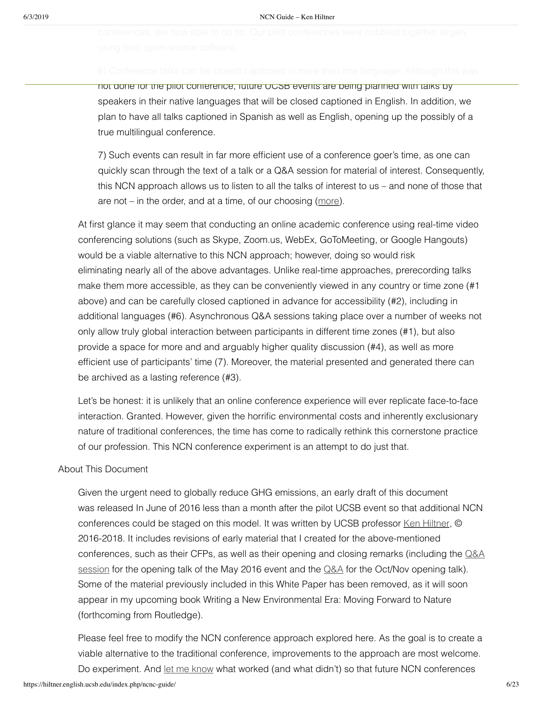not done for the pilot conference, future UCSB events are being planned with talks by speakers in their native languages that will be closed captioned in English. In addition, we plan to have all talks captioned in Spanish as well as English, opening up the possibly of a true multilingual conference.

7) Such events can result in far more efficient use of a conference goer's time, as one can quickly scan through the text of a talk or a Q&A session for material of interest. Consequently, this NCN approach allows us to listen to all the talks of interest to us – and none of those that are not – in the order, and at a time, of our choosing (more).

At first glance it may seem that conducting an online academic conference using real-time video conferencing solutions (such as Skype, Zoom.us, WebEx, GoToMeeting, or Google Hangouts) would be a viable alternative to this NCN approach; however, doing so would risk eliminating nearly all of the above advantages. Unlike real-time approaches, prerecording talks make them more accessible, as they can be conveniently viewed in any country or time zone (#1 above) and can be carefully closed captioned in advance for accessibility (#2), including in additional languages (#6). Asynchronous Q&A sessions taking place over a number of weeks not only allow truly global interaction between participants in different time zones (#1), but also provide a space for more and and arguably higher quality discussion (#4), as well as more efficient use of participants' time (7). Moreover, the material presented and generated there can be archived as a lasting reference (#3).

Let's be honest: it is unlikely that an online conference experience will ever replicate face-to-face interaction. Granted. However, given the horrific environmental costs and inherently exclusionary nature of traditional conferences, the time has come to radically rethink this cornerstone practice of our profession. This NCN conference experiment is an attempt to do just that.

### About This Document

Given the urgent need to globally reduce GHG emissions, an early draft of this document was released In June of 2016 less than a month after the pilot UCSB event so that additional NCN conferences could be staged on this model. It was written by UCSB professor Ken Hiltner, © 2016-2018. It includes revisions of early material that I created for the above-mentioned conferences, such as their CFPs, as well as their opening and closing remarks (including the Q&A session for the opening talk of the May 2016 event and the  $Q&A$  for the Oct/Nov opening talk). Some of the material previously included in this White Paper has been removed, as it will soon appear in my upcoming book Writing a New Environmental Era: Moving Forward to Nature (forthcoming from Routledge).

Please feel free to modify the NCN conference approach explored here. As the goal is to create a viable alternative to the traditional conference, improvements to the approach are most welcome. Do experiment. And let me know what worked (and what didn't) so that future NCN conferences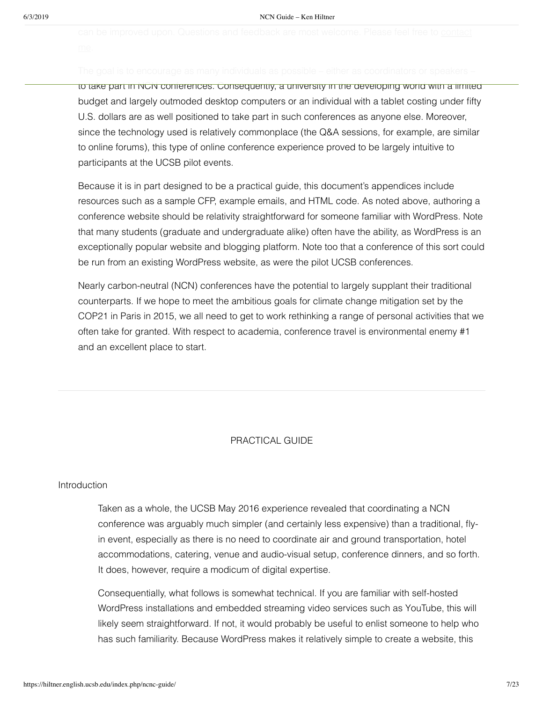to take part in NCN conferences. Consequently, a university in the developing world with a limited budget and largely outmoded desktop computers or an individual with a tablet costing under fifty U.S. dollars are as well positioned to take part in such conferences as anyone else. Moreover, since the technology used is relatively commonplace (the Q&A sessions, for example, are similar to online forums), this type of online conference experience proved to be largely intuitive to participants at the UCSB pilot events.

Because it is in part designed to be a practical guide, this document's appendices include resources such as a sample CFP, example emails, and HTML code. As noted above, authoring a conference website should be relativity straightforward for someone familiar with WordPress. Note that many students (graduate and undergraduate alike) often have the ability, as WordPress is an exceptionally popular website and blogging platform. Note too that a conference of this sort could be run from an existing WordPress website, as were the pilot UCSB conferences.

Nearly carbon-neutral (NCN) conferences have the potential to largely supplant their traditional counterparts. If we hope to meet the ambitious goals for climate change mitigation set by the COP21 in Paris in 2015, we all need to get to work rethinking a range of personal activities that we often take for granted. With respect to academia, conference travel is environmental enemy #1 and an excellent place to start.

### PRACTICAL GUIDE

# Introduction

Taken as a whole, the UCSB May 2016 experience revealed that coordinating a NCN conference was arguably much simpler (and certainly less expensive) than a traditional, flyin event, especially as there is no need to coordinate air and ground transportation, hotel accommodations, catering, venue and audio-visual setup, conference dinners, and so forth. It does, however, require a modicum of digital expertise.

Consequentially, what follows is somewhat technical. If you are familiar with self-hosted WordPress installations and embedded streaming video services such as YouTube, this will likely seem straightforward. If not, it would probably be useful to enlist someone to help who has such familiarity. Because WordPress makes it relatively simple to create a website, this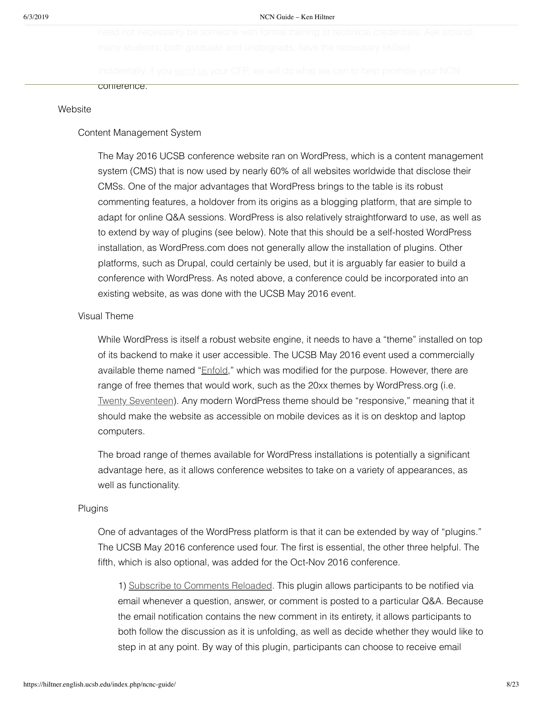# conference.

# **Website**

# Content Management System

The May 2016 UCSB conference website ran on WordPress, which is a content management system (CMS) that is now used by nearly 60% of all websites worldwide that disclose their CMSs. One of the major advantages that WordPress brings to the table is its robust commenting features, a holdover from its origins as a blogging platform, that are simple to adapt for online Q&A sessions. WordPress is also relatively straightforward to use, as well as to extend by way of plugins (see below). Note that this should be a self-hosted WordPress installation, as WordPress.com does not generally allow the installation of plugins. Other platforms, such as Drupal, could certainly be used, but it is arguably far easier to build a conference with WordPress. As noted above, a conference could be incorporated into an existing website, as was done with the UCSB May 2016 event.

# Visual Theme

While WordPress is itself a robust website engine, it needs to have a "theme" installed on top of its backend to make it user accessible. The UCSB May 2016 event used a commercially available theme named "**Enfold,"** which was modified for the purpose. However, there are range of free themes that would work, such as the 20xx themes by WordPress.org (i.e. Twenty Seventeen). Any modern WordPress theme should be "responsive," meaning that it should make the website as accessible on mobile devices as it is on desktop and laptop computers.

The broad range of themes available for WordPress installations is potentially a significant advantage here, as it allows conference websites to take on a variety of appearances, as well as functionality.

### **Plugins**

One of advantages of the WordPress platform is that it can be extended by way of "plugins." The UCSB May 2016 conference used four. The first is essential, the other three helpful. The fifth, which is also optional, was added for the Oct-Nov 2016 conference.

1) Subscribe to Comments Reloaded. This plugin allows participants to be notified via email whenever a question, answer, or comment is posted to a particular Q&A. Because the email notification contains the new comment in its entirety, it allows participants to both follow the discussion as it is unfolding, as well as decide whether they would like to step in at any point. By way of this plugin, participants can choose to receive email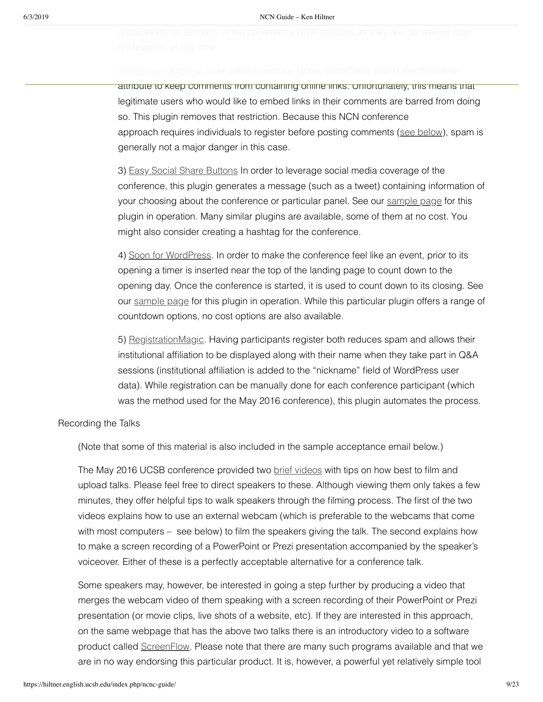attribute to keep comments from containing online links. Unfortunately, this means that legitimate users who would like to embed links in their comments are barred from doing so. This plugin removes that restriction. Because this NCN conference approach requires individuals to register before posting comments (see below), spam is generally not a major danger in this case.

3) Easy Social Share Buttons In order to leverage social media coverage of the conference, this plugin generates a message (such as a tweet) containing information of your choosing about the conference or particular panel. See our sample page for this plugin in operation. Many similar plugins are available, some of them at no cost. You might also consider creating a hashtag for the conference.

4) Soon for WordPress. In order to make the conference feel like an event, prior to its opening a timer is inserted near the top of the landing page to count down to the opening day. Once the conference is started, it is used to count down to its closing. See our sample page for this plugin in operation. While this particular plugin offers a range of countdown options, no cost options are also available.

5) RegistrationMagic. Having participants register both reduces spam and allows their institutional affiliation to be displayed along with their name when they take part in Q&A sessions (institutional affiliation is added to the "nickname" field of WordPress user data). While registration can be manually done for each conference participant (which was the method used for the May 2016 conference), this plugin automates the process.

### Recording the Talks

(Note that some of this material is also included in the sample acceptance email below.)

The May 2016 UCSB conference provided two brief videos with tips on how best to film and upload talks. Please feel free to direct speakers to these. Although viewing them only takes a few minutes, they offer helpful tips to walk speakers through the filming process. The first of the two videos explains how to use an external webcam (which is preferable to the webcams that come with most computers – see below) to film the speakers giving the talk. The second explains how to make a screen recording of a PowerPoint or Prezi presentation accompanied by the speaker's voiceover. Either of these is a perfectly acceptable alternative for a conference talk.

Some speakers may, however, be interested in going a step further by producing a video that merges the webcam video of them speaking with a screen recording of their PowerPoint or Prezi presentation (or movie clips, live shots of a website, etc). If they are interested in this approach, on the same webpage that has the above two talks there is an introductory video to a software product called ScreenFlow. Please note that there are many such programs available and that we are in no way endorsing this particular product. It is, however, a powerful yet relatively simple tool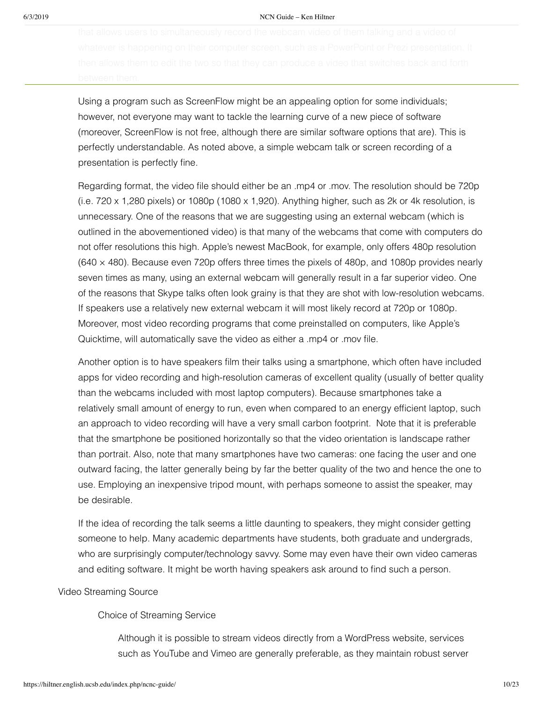Using a program such as ScreenFlow might be an appealing option for some individuals; however, not everyone may want to tackle the learning curve of a new piece of software (moreover, ScreenFlow is not free, although there are similar software options that are). This is perfectly understandable. As noted above, a simple webcam talk or screen recording of a presentation is perfectly fine.

Regarding format, the video file should either be an .mp4 or .mov. The resolution should be 720p (i.e.  $720 \times 1,280$  pixels) or  $1080p$  (1080  $\times 1,920$ ). Anything higher, such as 2k or 4k resolution, is unnecessary. One of the reasons that we are suggesting using an external webcam (which is outlined in the abovementioned video) is that many of the webcams that come with computers do not offer resolutions this high. Apple's newest MacBook, for example, only offers 480p resolution (640 × 480). Because even 720p offers three times the pixels of 480p, and 1080p provides nearly seven times as many, using an external webcam will generally result in a far superior video. One of the reasons that Skype talks often look grainy is that they are shot with low-resolution webcams. If speakers use a relatively new external webcam it will most likely record at 720p or 1080p. Moreover, most video recording programs that come preinstalled on computers, like Apple's Quicktime, will automatically save the video as either a .mp4 or .mov file.

Another option is to have speakers film their talks using a smartphone, which often have included apps for video recording and high-resolution cameras of excellent quality (usually of better quality than the webcams included with most laptop computers). Because smartphones take a relatively small amount of energy to run, even when compared to an energy efficient laptop, such an approach to video recording will have a very small carbon footprint. Note that it is preferable that the smartphone be positioned horizontally so that the video orientation is landscape rather than portrait. Also, note that many smartphones have two cameras: one facing the user and one outward facing, the latter generally being by far the better quality of the two and hence the one to use. Employing an inexpensive tripod mount, with perhaps someone to assist the speaker, may be desirable.

If the idea of recording the talk seems a little daunting to speakers, they might consider getting someone to help. Many academic departments have students, both graduate and undergrads, who are surprisingly computer/technology savvy. Some may even have their own video cameras and editing software. It might be worth having speakers ask around to find such a person.

# Video Streaming Source

### Choice of Streaming Service

Although it is possible to stream videos directly from a WordPress website, services such as YouTube and Vimeo are generally preferable, as they maintain robust server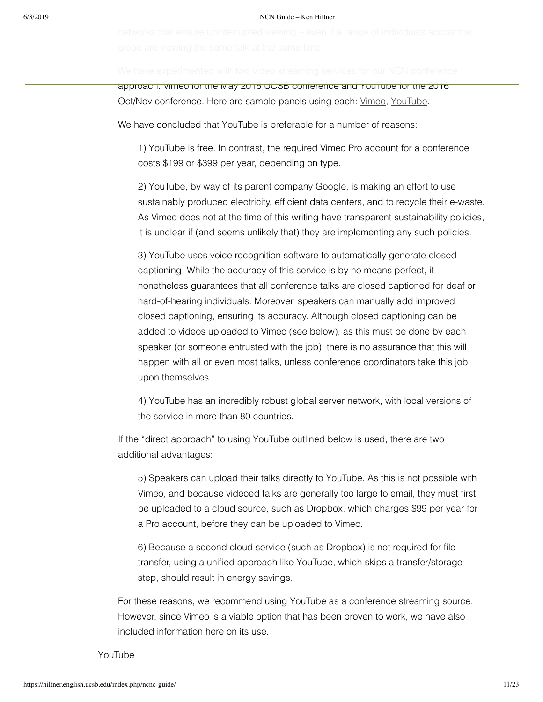approach: Vimeo for the May 2016 UCSB conference and YouTube for the 2016 Oct/Nov conference. Here are sample panels using each: Vimeo, YouTube.

We have concluded that YouTube is preferable for a number of reasons:

1) YouTube is free. In contrast, the required Vimeo Pro account for a conference costs \$199 or \$399 per year, depending on type.

2) YouTube, by way of its parent company Google, is making an effort to use sustainably produced electricity, efficient data centers, and to recycle their e-waste. As Vimeo does not at the time of this writing have transparent sustainability policies, it is unclear if (and seems unlikely that) they are implementing any such policies.

3) YouTube uses voice recognition software to automatically generate closed captioning. While the accuracy of this service is by no means perfect, it nonetheless guarantees that all conference talks are closed captioned for deaf or hard-of-hearing individuals. Moreover, speakers can manually add improved closed captioning, ensuring its accuracy. Although closed captioning can be added to videos uploaded to Vimeo (see below), as this must be done by each speaker (or someone entrusted with the job), there is no assurance that this will happen with all or even most talks, unless conference coordinators take this job upon themselves.

4) YouTube has an incredibly robust global server network, with local versions of the service in more than 80 countries.

If the "direct approach" to using YouTube outlined below is used, there are two additional advantages:

5) Speakers can upload their talks directly to YouTube. As this is not possible with Vimeo, and because videoed talks are generally too large to email, they must first be uploaded to a cloud source, such as Dropbox, which charges \$99 per year for a Pro account, before they can be uploaded to Vimeo.

6) Because a second cloud service (such as Dropbox) is not required for file transfer, using a unified approach like YouTube, which skips a transfer/storage step, should result in energy savings.

For these reasons, we recommend using YouTube as a conference streaming source. However, since Vimeo is a viable option that has been proven to work, we have also included information here on its use.

### YouTube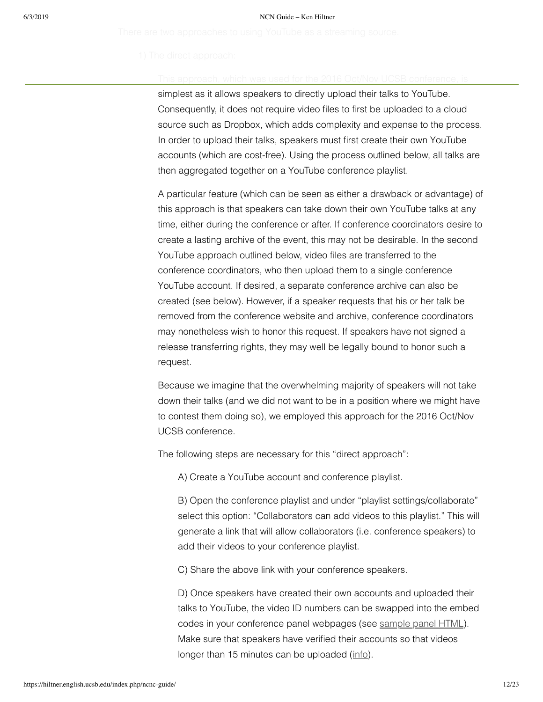### This approach, which was used for the 2016 Oct/Nov UCSB conference, is

simplest as it allows speakers to directly upload their talks to YouTube. Consequently, it does not require video files to first be uploaded to a cloud source such as Dropbox, which adds complexity and expense to the process. In order to upload their talks, speakers must first create their own YouTube accounts (which are cost-free). Using the process outlined below, all talks are then aggregated together on a YouTube conference playlist.

A particular feature (which can be seen as either a drawback or advantage) of this approach is that speakers can take down their own YouTube talks at any time, either during the conference or after. If conference coordinators desire to create a lasting archive of the event, this may not be desirable. In the second YouTube approach outlined below, video files are transferred to the conference coordinators, who then upload them to a single conference YouTube account. If desired, a separate conference archive can also be created (see below). However, if a speaker requests that his or her talk be removed from the conference website and archive, conference coordinators may nonetheless wish to honor this request. If speakers have not signed a release transferring rights, they may well be legally bound to honor such a request.

Because we imagine that the overwhelming majority of speakers will not take down their talks (and we did not want to be in a position where we might have to contest them doing so), we employed this approach for the 2016 Oct/Nov UCSB conference.

The following steps are necessary for this "direct approach":

A) Create a YouTube account and conference playlist.

B) Open the conference playlist and under "playlist settings/collaborate" select this option: "Collaborators can add videos to this playlist." This will generate a link that will allow collaborators (i.e. conference speakers) to add their videos to your conference playlist.

C) Share the above link with your conference speakers.

D) Once speakers have created their own accounts and uploaded their talks to YouTube, the video ID numbers can be swapped into the embed codes in your conference panel webpages (see sample panel HTML). Make sure that speakers have verified their accounts so that videos longer than 15 minutes can be uploaded (info).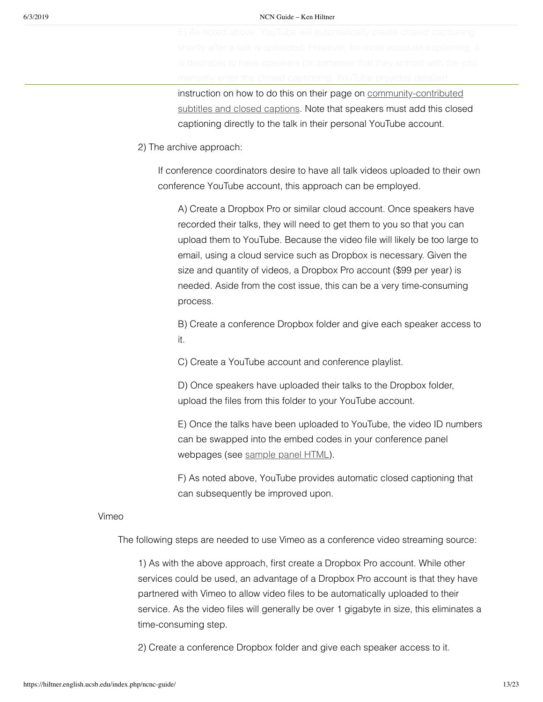instruction on how to do this on their page on community-contributed subtitles and closed captions. Note that speakers must add this closed captioning directly to the talk in their personal YouTube account.

2) The archive approach:

If conference coordinators desire to have all talk videos uploaded to their own conference YouTube account, this approach can be employed.

A) Create a Dropbox Pro or similar cloud account. Once speakers have recorded their talks, they will need to get them to you so that you can upload them to YouTube. Because the video file will likely be too large to email, using a cloud service such as Dropbox is necessary. Given the size and quantity of videos, a Dropbox Pro account (\$99 per year) is needed. Aside from the cost issue, this can be a very time-consuming process.

B) Create a conference Dropbox folder and give each speaker access to it.

C) Create a YouTube account and conference playlist.

D) Once speakers have uploaded their talks to the Dropbox folder, upload the files from this folder to your YouTube account.

E) Once the talks have been uploaded to YouTube, the video ID numbers can be swapped into the embed codes in your conference panel webpages (see sample panel HTML).

F) As noted above, YouTube provides automatic closed captioning that can subsequently be improved upon.

### Vimeo

The following steps are needed to use Vimeo as a conference video streaming source:

1) As with the above approach, first create a Dropbox Pro account. While other services could be used, an advantage of a Dropbox Pro account is that they have partnered with Vimeo to allow video files to be automatically uploaded to their service. As the video files will generally be over 1 gigabyte in size, this eliminates a time-consuming step.

2) Create a conference Dropbox folder and give each speaker access to it.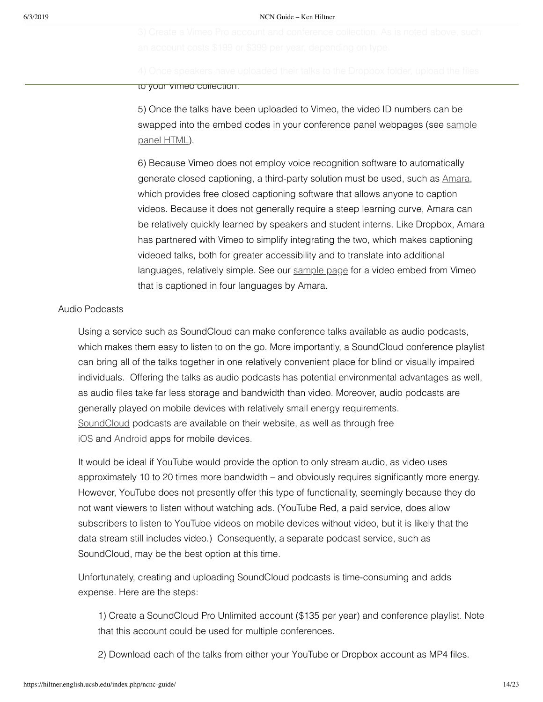# to your Vimeo collection.

5) Once the talks have been uploaded to Vimeo, the video ID numbers can be swapped into the embed codes in your conference panel webpages (see sample panel HTML).

6) Because Vimeo does not employ voice recognition software to automatically generate closed captioning, a third-party solution must be used, such as Amara, which provides free closed captioning software that allows anyone to caption videos. Because it does not generally require a steep learning curve, Amara can be relatively quickly learned by speakers and student interns. Like Dropbox, Amara has partnered with Vimeo to simplify integrating the two, which makes captioning videoed talks, both for greater accessibility and to translate into additional languages, relatively simple. See our sample page for a video embed from Vimeo that is captioned in four languages by Amara.

# Audio Podcasts

Using a service such as SoundCloud can make conference talks available as audio podcasts, which makes them easy to listen to on the go. More importantly, a SoundCloud conference playlist can bring all of the talks together in one relatively convenient place for blind or visually impaired individuals. Offering the talks as audio podcasts has potential environmental advantages as well, as audio files take far less storage and bandwidth than video. Moreover, audio podcasts are generally played on mobile devices with relatively small energy requirements. SoundCloud podcasts are available on their website, as well as through free iOS and **Android** apps for mobile devices.

It would be ideal if YouTube would provide the option to only stream audio, as video uses approximately 10 to 20 times more bandwidth – and obviously requires significantly more energy. However, YouTube does not presently offer this type of functionality, seemingly because they do not want viewers to listen without watching ads. (YouTube Red, a paid service, does allow subscribers to listen to YouTube videos on mobile devices without video, but it is likely that the data stream still includes video.) Consequently, a separate podcast service, such as SoundCloud, may be the best option at this time.

Unfortunately, creating and uploading SoundCloud podcasts is time-consuming and adds expense. Here are the steps:

1) Create a SoundCloud Pro Unlimited account (\$135 per year) and conference playlist. Note that this account could be used for multiple conferences.

2) Download each of the talks from either your YouTube or Dropbox account as MP4 files.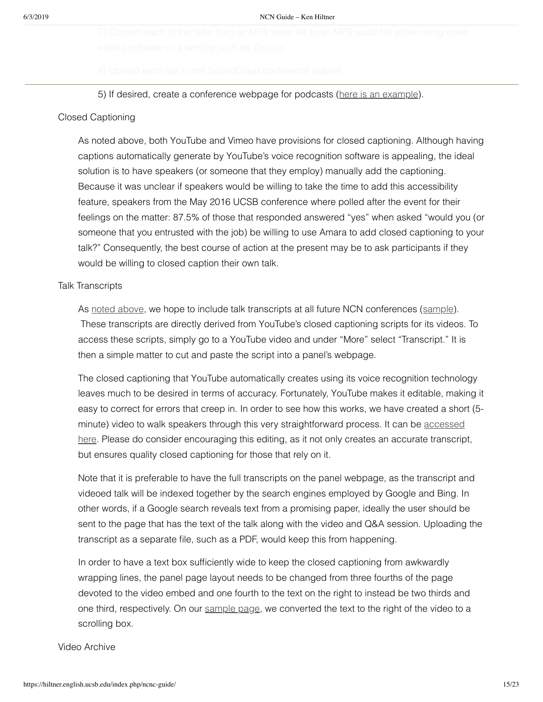5) If desired, create a conference webpage for podcasts (here is an example).

# Closed Captioning

As noted above, both YouTube and Vimeo have provisions for closed captioning. Although having captions automatically generate by YouTube's voice recognition software is appealing, the ideal solution is to have speakers (or someone that they employ) manually add the captioning. Because it was unclear if speakers would be willing to take the time to add this accessibility feature, speakers from the May 2016 UCSB conference where polled after the event for their feelings on the matter: 87.5% of those that responded answered "yes" when asked "would you (or someone that you entrusted with the job) be willing to use Amara to add closed captioning to your talk?" Consequently, the best course of action at the present may be to ask participants if they would be willing to closed caption their own talk.

# Talk Transcripts

As noted above, we hope to include talk transcripts at all future NCN conferences (sample). These transcripts are directly derived from YouTube's closed captioning scripts for its videos. To access these scripts, simply go to a YouTube video and under "More" select "Transcript." It is then a simple matter to cut and paste the script into a panel's webpage.

The closed captioning that YouTube automatically creates using its voice recognition technology leaves much to be desired in terms of accuracy. Fortunately, YouTube makes it editable, making it easy to correct for errors that creep in. In order to see how this works, we have created a short (5 minute) video to walk speakers through this very straightforward process. It can be accessed here. Please do consider encouraging this editing, as it not only creates an accurate transcript, but ensures quality closed captioning for those that rely on it.

Note that it is preferable to have the full transcripts on the panel webpage, as the transcript and videoed talk will be indexed together by the search engines employed by Google and Bing. In other words, if a Google search reveals text from a promising paper, ideally the user should be sent to the page that has the text of the talk along with the video and Q&A session. Uploading the transcript as a separate file, such as a PDF, would keep this from happening.

In order to have a text box sufficiently wide to keep the closed captioning from awkwardly wrapping lines, the panel page layout needs to be changed from three fourths of the page devoted to the video embed and one fourth to the text on the right to instead be two thirds and one third, respectively. On our sample page, we converted the text to the right of the video to a scrolling box.

### Video Archive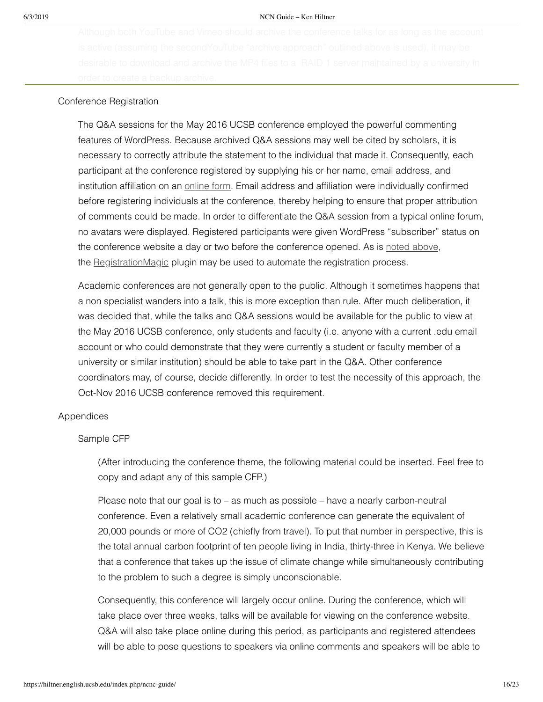# Conference Registration

The Q&A sessions for the May 2016 UCSB conference employed the powerful commenting features of WordPress. Because archived Q&A sessions may well be cited by scholars, it is necessary to correctly attribute the statement to the individual that made it. Consequently, each participant at the conference registered by supplying his or her name, email address, and institution affiliation on an online form. Email address and affiliation were individually confirmed before registering individuals at the conference, thereby helping to ensure that proper attribution of comments could be made. In order to differentiate the Q&A session from a typical online forum, no avatars were displayed. Registered participants were given WordPress "subscriber" status on the conference website a day or two before the conference opened. As is noted above, the RegistrationMagic plugin may be used to automate the registration process.

Academic conferences are not generally open to the public. Although it sometimes happens that a non specialist wanders into a talk, this is more exception than rule. After much deliberation, it was decided that, while the talks and Q&A sessions would be available for the public to view at the May 2016 UCSB conference, only students and faculty (i.e. anyone with a current .edu email account or who could demonstrate that they were currently a student or faculty member of a university or similar institution) should be able to take part in the Q&A. Other conference coordinators may, of course, decide differently. In order to test the necessity of this approach, the Oct-Nov 2016 UCSB conference removed this requirement.

### Appendices

### Sample CFP

(After introducing the conference theme, the following material could be inserted. Feel free to copy and adapt any of this sample CFP.)

Please note that our goal is to – as much as possible – have a nearly carbon-neutral conference. Even a relatively small academic conference can generate the equivalent of 20,000 pounds or more of CO2 (chiefly from travel). To put that number in perspective, this is the total annual carbon footprint of ten people living in India, thirty-three in Kenya. We believe that a conference that takes up the issue of climate change while simultaneously contributing to the problem to such a degree is simply unconscionable.

Consequently, this conference will largely occur online. During the conference, which will take place over three weeks, talks will be available for viewing on the conference website. Q&A will also take place online during this period, as participants and registered attendees will be able to pose questions to speakers via online comments and speakers will be able to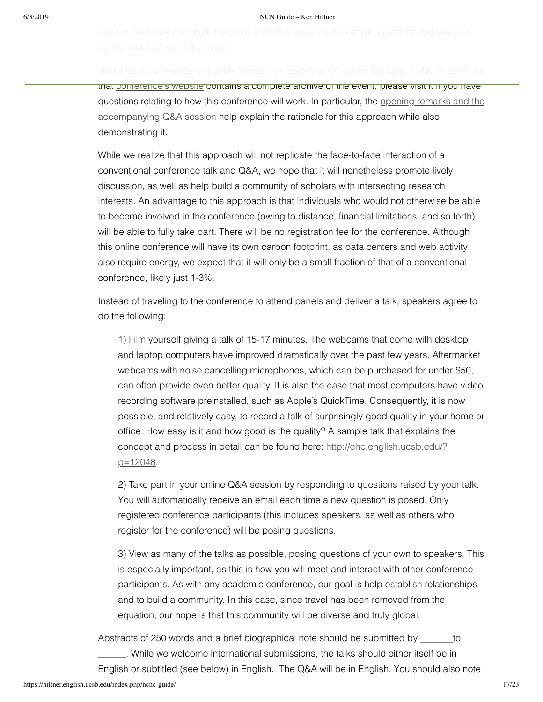that conference's website contains a complete archive of the event, please visit it if you have questions relating to how this conference will work. In particular, the opening remarks and the accompanying Q&A session help explain the rationale for this approach while also demonstrating it.

While we realize that this approach will not replicate the face-to-face interaction of a conventional conference talk and Q&A, we hope that it will nonetheless promote lively discussion, as well as help build a community of scholars with intersecting research interests. An advantage to this approach is that individuals who would not otherwise be able to become involved in the conference (owing to distance, financial limitations, and so forth) will be able to fully take part. There will be no registration fee for the conference. Although this online conference will have its own carbon footprint, as data centers and web activity also require energy, we expect that it will only be a small fraction of that of a conventional conference, likely just 1-3%.

Instead of traveling to the conference to attend panels and deliver a talk, speakers agree to do the following:

1) Film yourself giving a talk of 15-17 minutes. The webcams that come with desktop and laptop computers have improved dramatically over the past few years. Aftermarket webcams with noise cancelling microphones, which can be purchased for under \$50, can often provide even better quality. It is also the case that most computers have video recording software preinstalled, such as Apple's QuickTime, Consequently, it is now possible, and relatively easy, to record a talk of surprisingly good quality in your home or office. How easy is it and how good is the quality? A sample talk that explains the concept and process in detail can be found here: http://ehc.english.ucsb.edu/? p=12048.

2) Take part in your online Q&A session by responding to questions raised by your talk. You will automatically receive an email each time a new question is posed. Only registered conference participants (this includes speakers, as well as others who register for the conference) will be posing questions.

3) View as many of the talks as possible, posing questions of your own to speakers. This is especially important, as this is how you will meet and interact with other conference participants. As with any academic conference, our goal is help establish relationships and to build a community. In this case, since travel has been removed from the equation, our hope is that this community will be diverse and truly global.

Abstracts of 250 words and a brief biographical note should be submitted by \_\_\_\_\_\_\_to \_\_\_\_\_\_. While we welcome international submissions, the talks should either itself be in English or subtitled (see below) in English. The Q&A will be in English. You should also note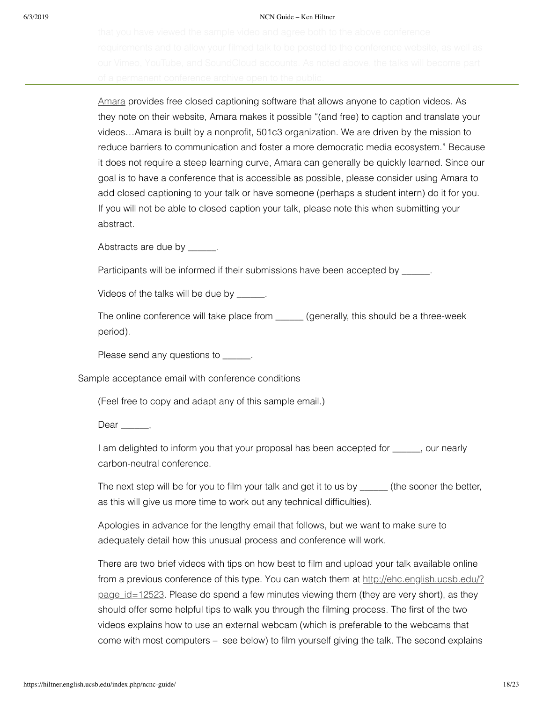Amara provides free closed captioning software that allows anyone to caption videos. As they note on their website, Amara makes it possible "(and free) to caption and translate your videos…Amara is built by a nonprofit, 501c3 organization. We are driven by the mission to reduce barriers to communication and foster a more democratic media ecosystem." Because it does not require a steep learning curve, Amara can generally be quickly learned. Since our goal is to have a conference that is accessible as possible, please consider using Amara to add closed captioning to your talk or have someone (perhaps a student intern) do it for you. If you will not be able to closed caption your talk, please note this when submitting your abstract.

Abstracts are due by \_\_\_\_\_\_.

Participants will be informed if their submissions have been accepted by \_\_\_\_\_\_.

Videos of the talks will be due by \_\_\_\_\_.

The online conference will take place from \_\_\_\_\_\_ (generally, this should be a three-week period).

Please send any questions to \_\_\_\_\_\_.

Sample acceptance email with conference conditions

(Feel free to copy and adapt any of this sample email.)

Dear,

I am delighted to inform you that your proposal has been accepted for \_\_\_\_\_\_, our nearly carbon-neutral conference.

The next step will be for you to film your talk and get it to us by \_\_\_\_\_\_ (the sooner the better, as this will give us more time to work out any technical difficulties).

Apologies in advance for the lengthy email that follows, but we want to make sure to adequately detail how this unusual process and conference will work.

There are two brief videos with tips on how best to film and upload your talk available online from a previous conference of this type. You can watch them at http://ehc.english.ucsb.edu/?  $page$  id=12523. Please do spend a few minutes viewing them (they are very short), as they should offer some helpful tips to walk you through the filming process. The first of the two videos explains how to use an external webcam (which is preferable to the webcams that come with most computers – see below) to film yourself giving the talk. The second explains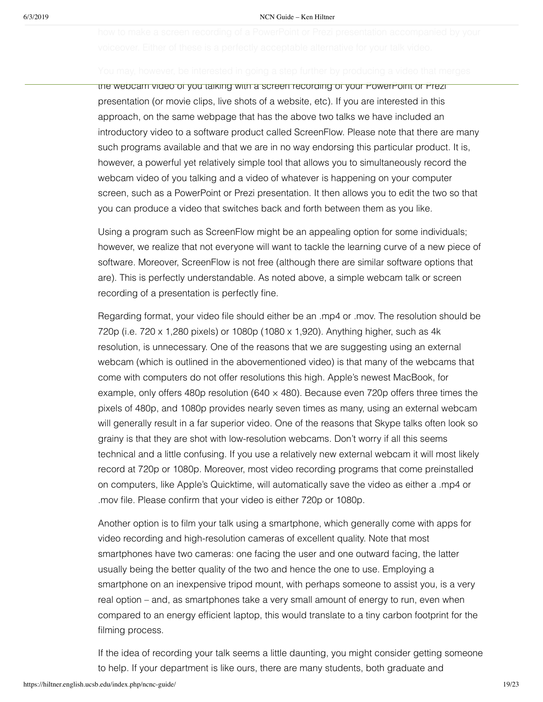the webcam video of you talking with a screen recording of your PowerPoint or Prezi presentation (or movie clips, live shots of a website, etc). If you are interested in this approach, on the same webpage that has the above two talks we have included an introductory video to a software product called ScreenFlow. Please note that there are many such programs available and that we are in no way endorsing this particular product. It is, however, a powerful yet relatively simple tool that allows you to simultaneously record the webcam video of you talking and a video of whatever is happening on your computer screen, such as a PowerPoint or Prezi presentation. It then allows you to edit the two so that you can produce a video that switches back and forth between them as you like.

Using a program such as ScreenFlow might be an appealing option for some individuals; however, we realize that not everyone will want to tackle the learning curve of a new piece of software. Moreover, ScreenFlow is not free (although there are similar software options that are). This is perfectly understandable. As noted above, a simple webcam talk or screen recording of a presentation is perfectly fine.

Regarding format, your video file should either be an .mp4 or .mov. The resolution should be 720p (i.e. 720 x 1,280 pixels) or 1080p (1080 x 1,920). Anything higher, such as 4k resolution, is unnecessary. One of the reasons that we are suggesting using an external webcam (which is outlined in the abovementioned video) is that many of the webcams that come with computers do not offer resolutions this high. Apple's newest MacBook, for example, only offers 480p resolution (640  $\times$  480). Because even 720p offers three times the pixels of 480p, and 1080p provides nearly seven times as many, using an external webcam will generally result in a far superior video. One of the reasons that Skype talks often look so grainy is that they are shot with low-resolution webcams. Don't worry if all this seems technical and a little confusing. If you use a relatively new external webcam it will most likely record at 720p or 1080p. Moreover, most video recording programs that come preinstalled on computers, like Apple's Quicktime, will automatically save the video as either a .mp4 or .mov file. Please confirm that your video is either 720p or 1080p.

Another option is to film your talk using a smartphone, which generally come with apps for video recording and high-resolution cameras of excellent quality. Note that most smartphones have two cameras: one facing the user and one outward facing, the latter usually being the better quality of the two and hence the one to use. Employing a smartphone on an inexpensive tripod mount, with perhaps someone to assist you, is a very real option – and, as smartphones take a very small amount of energy to run, even when compared to an energy efficient laptop, this would translate to a tiny carbon footprint for the filming process.

If the idea of recording your talk seems a little daunting, you might consider getting someone to help. If your department is like ours, there are many students, both graduate and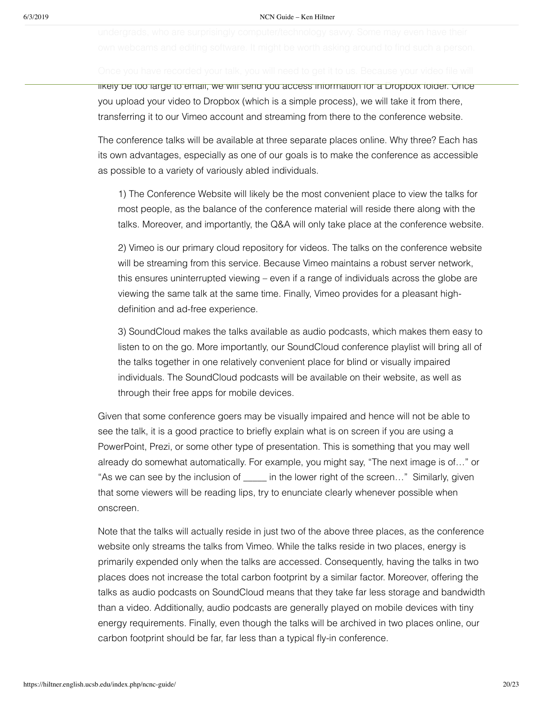likely be too large to email, we will send you access information for a Dropbox folder. Once you upload your video to Dropbox (which is a simple process), we will take it from there, transferring it to our Vimeo account and streaming from there to the conference website.

The conference talks will be available at three separate places online. Why three? Each has its own advantages, especially as one of our goals is to make the conference as accessible as possible to a variety of variously abled individuals.

1) The Conference Website will likely be the most convenient place to view the talks for most people, as the balance of the conference material will reside there along with the talks. Moreover, and importantly, the Q&A will only take place at the conference website.

2) Vimeo is our primary cloud repository for videos. The talks on the conference website will be streaming from this service. Because Vimeo maintains a robust server network, this ensures uninterrupted viewing – even if a range of individuals across the globe are viewing the same talk at the same time. Finally, Vimeo provides for a pleasant highdefinition and ad-free experience.

3) SoundCloud makes the talks available as audio podcasts, which makes them easy to listen to on the go. More importantly, our SoundCloud conference playlist will bring all of the talks together in one relatively convenient place for blind or visually impaired individuals. The SoundCloud podcasts will be available on their website, as well as through their free apps for mobile devices.

Given that some conference goers may be visually impaired and hence will not be able to see the talk, it is a good practice to briefly explain what is on screen if you are using a PowerPoint, Prezi, or some other type of presentation. This is something that you may well already do somewhat automatically. For example, you might say, "The next image is of…" or "As we can see by the inclusion of \_\_\_\_\_ in the lower right of the screen…" Similarly, given that some viewers will be reading lips, try to enunciate clearly whenever possible when onscreen.

Note that the talks will actually reside in just two of the above three places, as the conference website only streams the talks from Vimeo. While the talks reside in two places, energy is primarily expended only when the talks are accessed. Consequently, having the talks in two places does not increase the total carbon footprint by a similar factor. Moreover, offering the talks as audio podcasts on SoundCloud means that they take far less storage and bandwidth than a video. Additionally, audio podcasts are generally played on mobile devices with tiny energy requirements. Finally, even though the talks will be archived in two places online, our carbon footprint should be far, far less than a typical fly-in conference.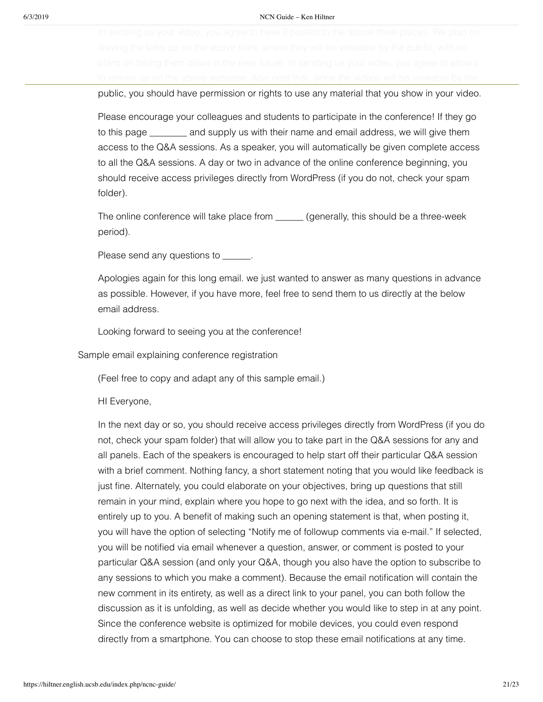public, you should have permission or rights to use any material that you show in your video.

Please encourage your colleagues and students to participate in the conference! If they go to this page \_\_\_\_\_\_\_\_ and supply us with their name and email address, we will give them access to the Q&A sessions. As a speaker, you will automatically be given complete access to all the Q&A sessions. A day or two in advance of the online conference beginning, you should receive access privileges directly from WordPress (if you do not, check your spam folder).

The online conference will take place from \_\_\_\_\_\_\_ (generally, this should be a three-week period).

Please send any questions to \_\_\_\_\_\_.

Apologies again for this long email. we just wanted to answer as many questions in advance as possible. However, if you have more, feel free to send them to us directly at the below email address.

Looking forward to seeing you at the conference!

Sample email explaining conference registration

(Feel free to copy and adapt any of this sample email.)

HI Everyone,

In the next day or so, you should receive access privileges directly from WordPress (if you do not, check your spam folder) that will allow you to take part in the Q&A sessions for any and all panels. Each of the speakers is encouraged to help start off their particular Q&A session with a brief comment. Nothing fancy, a short statement noting that you would like feedback is just fine. Alternately, you could elaborate on your objectives, bring up questions that still remain in your mind, explain where you hope to go next with the idea, and so forth. It is entirely up to you. A benefit of making such an opening statement is that, when posting it, you will have the option of selecting "Notify me of followup comments via e-mail." If selected, you will be notified via email whenever a question, answer, or comment is posted to your particular Q&A session (and only your Q&A, though you also have the option to subscribe to any sessions to which you make a comment). Because the email notification will contain the new comment in its entirety, as well as a direct link to your panel, you can both follow the discussion as it is unfolding, as well as decide whether you would like to step in at any point. Since the conference website is optimized for mobile devices, you could even respond directly from a smartphone. You can choose to stop these email notifications at any time.